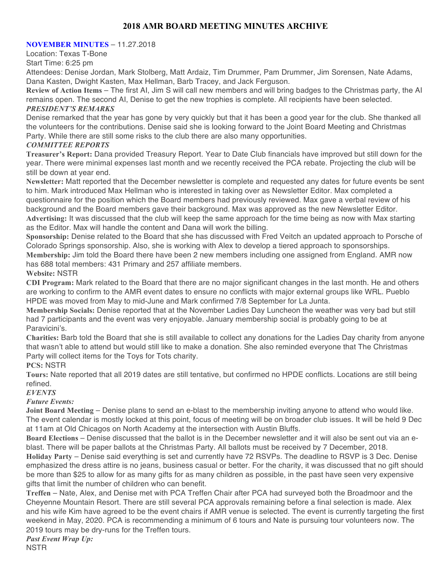# **2018 AMR BOARD MEETING MINUTES ARCHIVE**

#### **NOVEMBER MINUTES** – 11.27.2018

Location: Texas T-Bone

Start Time: 6:25 pm

Attendees: Denise Jordan, Mark Stolberg, Matt Ardaiz, Tim Drummer, Pam Drummer, Jim Sorensen, Nate Adams, Dana Kasten, Dwight Kasten, Max Hellman, Barb Tracey, and Jack Ferguson.

**Review of Action Items** – The first AI, Jim S will call new members and will bring badges to the Christmas party, the AI remains open. The second AI, Denise to get the new trophies is complete. All recipients have been selected. *PRESIDENT'S REMARKS*

Denise remarked that the year has gone by very quickly but that it has been a good year for the club. She thanked all the volunteers for the contributions. Denise said she is looking forward to the Joint Board Meeting and Christmas Party. While there are still some risks to the club there are also many opportunities.

### *COMMITTEE REPORTS*

**Treasurer's Report:** Dana provided Treasury Report. Year to Date Club financials have improved but still down for the year. There were minimal expenses last month and we recently received the PCA rebate. Projecting the club will be still be down at year end.

**Newsletter:** Matt reported that the December newsletter is complete and requested any dates for future events be sent to him. Mark introduced Max Hellman who is interested in taking over as Newsletter Editor. Max completed a questionnaire for the position which the Board members had previously reviewed. Max gave a verbal review of his background and the Board members gave their background. Max was approved as the new Newsletter Editor. **Advertising:** It was discussed that the club will keep the same approach for the time being as now with Max starting as the Editor. Max will handle the content and Dana will work the billing.

**Sponsorship:** Denise related to the Board that she has discussed with Fred Veitch an updated approach to Porsche of Colorado Springs sponsorship. Also, she is working with Alex to develop a tiered approach to sponsorships.

**Membership:** Jim told the Board there have been 2 new members including one assigned from England. AMR now has 688 total members: 431 Primary and 257 affiliate members.

# **Website:** NSTR

**CDI Program:** Mark related to the Board that there are no major significant changes in the last month. He and others are working to confirm to the AMR event dates to ensure no conflicts with major external groups like WRL. Pueblo HPDE was moved from May to mid-June and Mark confirmed 7/8 September for La Junta.

**Membership Socials:** Denise reported that at the November Ladies Day Luncheon the weather was very bad but still had 7 participants and the event was very enjoyable. January membership social is probably going to be at Paravicini's.

**Charities:** Barb told the Board that she is still available to collect any donations for the Ladies Day charity from anyone that wasn't able to attend but would still like to make a donation. She also reminded everyone that The Christmas Party will collect items for the Toys for Tots charity.

# **PCS:** NSTR

**Tours:** Nate reported that all 2019 dates are still tentative, but confirmed no HPDE conflicts. Locations are still being refined.

#### *EVENTS*

# *Future Events:*

**Joint Board Meeting** – Denise plans to send an e-blast to the membership inviting anyone to attend who would like. The event calendar is mostly locked at this point, focus of meeting will be on broader club issues. It will be held 9 Dec at 11am at Old Chicagos on North Academy at the intersection with Austin Bluffs.

**Board Elections** – Denise discussed that the ballot is in the December newsletter and it will also be sent out via an eblast. There will be paper ballots at the Christmas Party. All ballots must be received by 7 December, 2018.

**Holiday Party** – Denise said everything is set and currently have 72 RSVPs. The deadline to RSVP is 3 Dec. Denise emphasized the dress attire is no jeans, business casual or better. For the charity, it was discussed that no gift should be more than \$25 to allow for as many gifts for as many children as possible, in the past have seen very expensive gifts that limit the number of children who can benefit.

**Treffen** – Nate, Alex, and Denise met with PCA Treffen Chair after PCA had surveyed both the Broadmoor and the Cheyenne Mountain Resort. There are still several PCA approvals remaining before a final selection is made. Alex and his wife Kim have agreed to be the event chairs if AMR venue is selected. The event is currently targeting the first weekend in May, 2020. PCA is recommending a minimum of 6 tours and Nate is pursuing tour volunteers now. The 2019 tours may be dry-runs for the Treffen tours.

*Past Event Wrap Up:* **NSTR**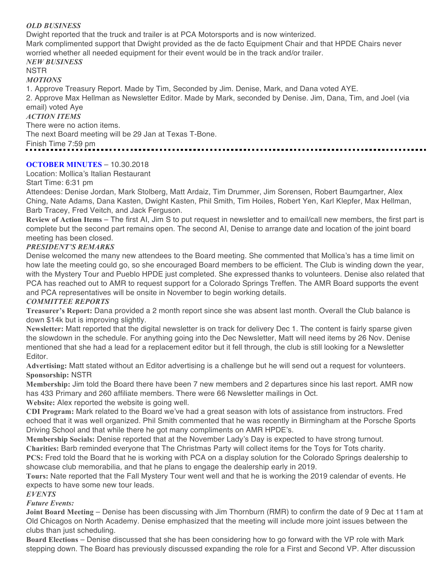# *OLD BUSINESS*

Dwight reported that the truck and trailer is at PCA Motorsports and is now winterized. Mark complimented support that Dwight provided as the de facto Equipment Chair and that HPDE Chairs never worried whether all needed equipment for their event would be in the track and/or trailer. *NEW BUSINESS*

# NSTR

# *MOTIONS*

1. Approve Treasury Report. Made by Tim, Seconded by Jim. Denise, Mark, and Dana voted AYE.

2. Approve Max Hellman as Newsletter Editor. Made by Mark, seconded by Denise. Jim, Dana, Tim, and Joel (via email) voted Aye

### *ACTION ITEMS*

There were no action items.

The next Board meeting will be 29 Jan at Texas T-Bone.

Finish Time 7:59 pm 

# **OCTOBER MINUTES** – 10.30.2018

Location: Mollica's Italian Restaurant

Start Time: 6:31 pm

Attendees: Denise Jordan, Mark Stolberg, Matt Ardaiz, Tim Drummer, Jim Sorensen, Robert Baumgartner, Alex Ching, Nate Adams, Dana Kasten, Dwight Kasten, Phil Smith, Tim Hoiles, Robert Yen, Karl Klepfer, Max Hellman, Barb Tracey, Fred Veitch, and Jack Ferguson.

**Review of Action Items** – The first AI, Jim S to put request in newsletter and to email/call new members, the first part is complete but the second part remains open. The second AI, Denise to arrange date and location of the joint board meeting has been closed.

# *PRESIDENT'S REMARKS*

Denise welcomed the many new attendees to the Board meeting. She commented that Mollica's has a time limit on how late the meeting could go, so she encouraged Board members to be efficient. The Club is winding down the year, with the Mystery Tour and Pueblo HPDE just completed. She expressed thanks to volunteers. Denise also related that PCA has reached out to AMR to request support for a Colorado Springs Treffen. The AMR Board supports the event and PCA representatives will be onsite in November to begin working details.

# *COMMITTEE REPORTS*

**Treasurer's Report:** Dana provided a 2 month report since she was absent last month. Overall the Club balance is down \$14k but is improving slightly.

**Newsletter:** Matt reported that the digital newsletter is on track for delivery Dec 1. The content is fairly sparse given the slowdown in the schedule. For anything going into the Dec Newsletter, Matt will need items by 26 Nov. Denise mentioned that she had a lead for a replacement editor but it fell through, the club is still looking for a Newsletter Editor.

**Advertising:** Matt stated without an Editor advertising is a challenge but he will send out a request for volunteers. **Sponsorship:** NSTR

**Membership:** Jim told the Board there have been 7 new members and 2 departures since his last report. AMR now has 433 Primary and 260 affiliate members. There were 66 Newsletter mailings in Oct.

**Website:** Alex reported the website is going well.

**CDI Program:** Mark related to the Board we've had a great season with lots of assistance from instructors. Fred echoed that it was well organized. Phil Smith commented that he was recently in Birmingham at the Porsche Sports Driving School and that while there he got many compliments on AMR HPDE's.

**Membership Socials:** Denise reported that at the November Lady's Day is expected to have strong turnout. **Charities:** Barb reminded everyone that The Christmas Party will collect items for the Toys for Tots charity.

**PCS:** Fred told the Board that he is working with PCA on a display solution for the Colorado Springs dealership to showcase club memorabilia, and that he plans to engage the dealership early in 2019.

**Tours:** Nate reported that the Fall Mystery Tour went well and that he is working the 2019 calendar of events. He expects to have some new tour leads.

# *EVENTS*

# *Future Events:*

**Joint Board Meeting** – Denise has been discussing with Jim Thornburn (RMR) to confirm the date of 9 Dec at 11am at Old Chicagos on North Academy. Denise emphasized that the meeting will include more joint issues between the clubs than just scheduling.

**Board Elections** – Denise discussed that she has been considering how to go forward with the VP role with Mark stepping down. The Board has previously discussed expanding the role for a First and Second VP. After discussion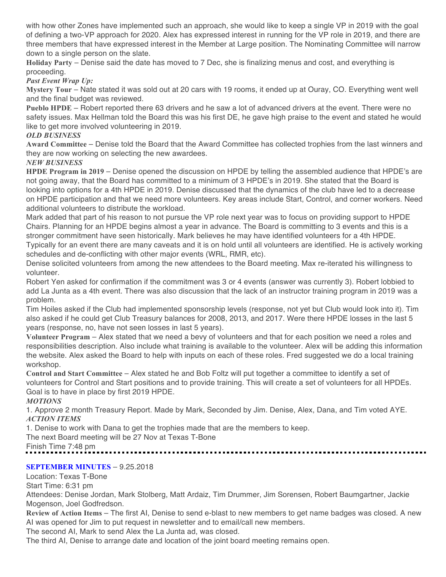with how other Zones have implemented such an approach, she would like to keep a single VP in 2019 with the goal of defining a two-VP approach for 2020. Alex has expressed interest in running for the VP role in 2019, and there are three members that have expressed interest in the Member at Large position. The Nominating Committee will narrow down to a single person on the slate.

**Holiday Party** – Denise said the date has moved to 7 Dec, she is finalizing menus and cost, and everything is proceeding.

### *Past Event Wrap Up:*

**Mystery Tour** – Nate stated it was sold out at 20 cars with 19 rooms, it ended up at Ouray, CO. Everything went well and the final budget was reviewed.

**Pueblo HPDE** – Robert reported there 63 drivers and he saw a lot of advanced drivers at the event. There were no safety issues. Max Hellman told the Board this was his first DE, he gave high praise to the event and stated he would like to get more involved volunteering in 2019.

#### *OLD BUSINESS*

**Award Committee** – Denise told the Board that the Award Committee has collected trophies from the last winners and they are now working on selecting the new awardees.

#### *NEW BUSINESS*

**HPDE Program in 2019** – Denise opened the discussion on HPDE by telling the assembled audience that HPDE's are not going away, that the Board has committed to a minimum of 3 HPDE's in 2019. She stated that the Board is looking into options for a 4th HPDE in 2019. Denise discussed that the dynamics of the club have led to a decrease on HPDE participation and that we need more volunteers. Key areas include Start, Control, and corner workers. Need additional volunteers to distribute the workload.

Mark added that part of his reason to not pursue the VP role next year was to focus on providing support to HPDE Chairs. Planning for an HPDE begins almost a year in advance. The Board is committing to 3 events and this is a stronger commitment have seen historically. Mark believes he may have identified volunteers for a 4th HPDE.

Typically for an event there are many caveats and it is on hold until all volunteers are identified. He is actively working schedules and de-conflicting with other major events (WRL, RMR, etc).

Denise solicited volunteers from among the new attendees to the Board meeting. Max re-iterated his willingness to volunteer.

Robert Yen asked for confirmation if the commitment was 3 or 4 events (answer was currently 3). Robert lobbied to add La Junta as a 4th event. There was also discussion that the lack of an instructor training program in 2019 was a problem.

Tim Hoiles asked if the Club had implemented sponsorship levels (response, not yet but Club would look into it). Tim also asked if he could get Club Treasury balances for 2008, 2013, and 2017. Were there HPDE losses in the last 5 years (response, no, have not seen losses in last 5 years).

**Volunteer Program** – Alex stated that we need a bevy of volunteers and that for each position we need a roles and responsibilities description. Also include what training is available to the volunteer. Alex will be adding this information the website. Alex asked the Board to help with inputs on each of these roles. Fred suggested we do a local training workshop.

**Control and Start Committee** – Alex stated he and Bob Foltz will put together a committee to identify a set of volunteers for Control and Start positions and to provide training. This will create a set of volunteers for all HPDEs. Goal is to have in place by first 2019 HPDE.

#### *MOTIONS*

1. Approve 2 month Treasury Report. Made by Mark, Seconded by Jim. Denise, Alex, Dana, and Tim voted AYE. *ACTION ITEMS*

1. Denise to work with Dana to get the trophies made that are the members to keep.

The next Board meeting will be 27 Nov at Texas T-Bone

Finish Time 7:48 pm

# **SEPTEMBER MINUTES** – 9.25.2018

# Location: Texas T-Bone

Start Time: 6:31 pm

Attendees: Denise Jordan, Mark Stolberg, Matt Ardaiz, Tim Drummer, Jim Sorensen, Robert Baumgartner, Jackie Mogenson, Joel Godfredson.

**Review of Action Items** – The first AI, Denise to send e-blast to new members to get name badges was closed. A new AI was opened for Jim to put request in newsletter and to email/call new members.

The second AI, Mark to send Alex the La Junta ad, was closed.

The third AI, Denise to arrange date and location of the joint board meeting remains open.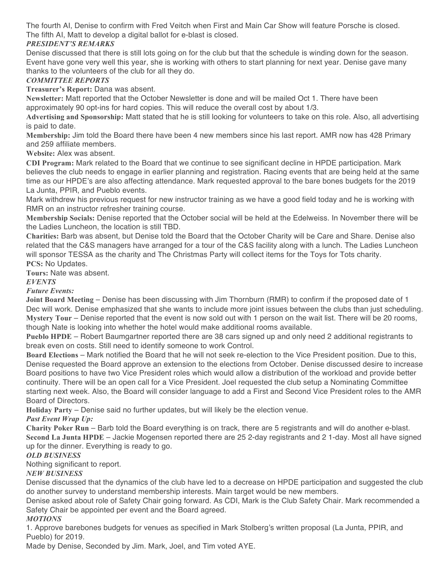The fourth AI, Denise to confirm with Fred Veitch when First and Main Car Show will feature Porsche is closed. The fifth AI, Matt to develop a digital ballot for e-blast is closed.

# *PRESIDENT'S REMARKS*

Denise discussed that there is still lots going on for the club but that the schedule is winding down for the season. Event have gone very well this year, she is working with others to start planning for next year. Denise gave many thanks to the volunteers of the club for all they do.

### *COMMITTEE REPORTS*

**Treasurer's Report:** Dana was absent.

**Newsletter:** Matt reported that the October Newsletter is done and will be mailed Oct 1. There have been approximately 90 opt-ins for hard copies. This will reduce the overall cost by about 1/3.

**Advertising and Sponsorship:** Matt stated that he is still looking for volunteers to take on this role. Also, all advertising is paid to date.

**Membership:** Jim told the Board there have been 4 new members since his last report. AMR now has 428 Primary and 259 affiliate members.

**Website:** Alex was absent.

**CDI Program:** Mark related to the Board that we continue to see significant decline in HPDE participation. Mark believes the club needs to engage in earlier planning and registration. Racing events that are being held at the same time as our HPDE's are also affecting attendance. Mark requested approval to the bare bones budgets for the 2019 La Junta, PPIR, and Pueblo events.

Mark withdrew his previous request for new instructor training as we have a good field today and he is working with RMR on an instructor refresher training course.

**Membership Socials:** Denise reported that the October social will be held at the Edelweiss. In November there will be the Ladies Luncheon, the location is still TBD.

**Charities:** Barb was absent, but Denise told the Board that the October Charity will be Care and Share. Denise also related that the C&S managers have arranged for a tour of the C&S facility along with a lunch. The Ladies Luncheon will sponsor TESSA as the charity and The Christmas Party will collect items for the Toys for Tots charity. **PCS:** No Updates.

**Tours:** Nate was absent.

### *EVENTS*

*Future Events:*

**Joint Board Meeting** – Denise has been discussing with Jim Thornburn (RMR) to confirm if the proposed date of 1 Dec will work. Denise emphasized that she wants to include more joint issues between the clubs than just scheduling. **Mystery Tour** – Denise reported that the event is now sold out with 1 person on the wait list. There will be 20 rooms, though Nate is looking into whether the hotel would make additional rooms available.

**Pueblo HPDE** – Robert Baumgartner reported there are 38 cars signed up and only need 2 additional registrants to break even on costs. Still need to identify someone to work Control.

**Board Elections** – Mark notified the Board that he will not seek re-election to the Vice President position. Due to this, Denise requested the Board approve an extension to the elections from October. Denise discussed desire to increase Board positions to have two Vice President roles which would allow a distribution of the workload and provide better continuity. There will be an open call for a Vice President. Joel requested the club setup a Nominating Committee starting next week. Also, the Board will consider language to add a First and Second Vice President roles to the AMR Board of Directors.

**Holiday Party** – Denise said no further updates, but will likely be the election venue.

*Past Event Wrap Up:*

**Charity Poker Run** – Barb told the Board everything is on track, there are 5 registrants and will do another e-blast. **Second La Junta HPDE** – Jackie Mogensen reported there are 25 2-day registrants and 2 1-day. Most all have signed up for the dinner. Everything is ready to go.

# *OLD BUSINESS*

Nothing significant to report.

#### *NEW BUSINESS*

Denise discussed that the dynamics of the club have led to a decrease on HPDE participation and suggested the club do another survey to understand membership interests. Main target would be new members.

Denise asked about role of Safety Chair going forward. As CDI, Mark is the Club Safety Chair. Mark recommended a Safety Chair be appointed per event and the Board agreed.

#### *MOTIONS*

1. Approve barebones budgets for venues as specified in Mark Stolberg's written proposal (La Junta, PPIR, and Pueblo) for 2019.

Made by Denise, Seconded by Jim. Mark, Joel, and Tim voted AYE.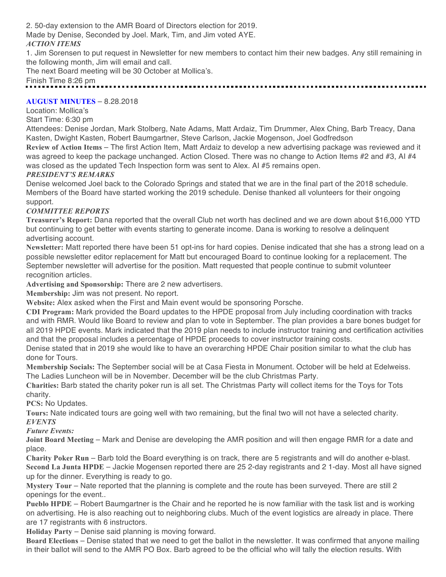2. 50-day extension to the AMR Board of Directors election for 2019.

Made by Denise, Seconded by Joel. Mark, Tim, and Jim voted AYE.

### *ACTION ITEMS*

1. Jim Sorensen to put request in Newsletter for new members to contact him their new badges. Any still remaining in the following month, Jim will email and call.

The next Board meeting will be 30 October at Mollica's.

Finish Time 8:26 pm

### **AUGUST MINUTES** – 8.28.2018

Location: Mollica's

Start Time: 6:30 pm

Attendees: Denise Jordan, Mark Stolberg, Nate Adams, Matt Ardaiz, Tim Drummer, Alex Ching, Barb Treacy, Dana Kasten, Dwight Kasten, Robert Baumgartner, Steve Carlson, Jackie Mogenson, Joel Godfredson

**Review of Action Items** – The first Action Item, Matt Ardaiz to develop a new advertising package was reviewed and it was agreed to keep the package unchanged. Action Closed. There was no change to Action Items #2 and #3, AI #4 was closed as the updated Tech Inspection form was sent to Alex. AI #5 remains open.

#### *PRESIDENT'S REMARKS*

Denise welcomed Joel back to the Colorado Springs and stated that we are in the final part of the 2018 schedule. Members of the Board have started working the 2019 schedule. Denise thanked all volunteers for their ongoing support.

# *COMMITTEE REPORTS*

**Treasurer's Report:** Dana reported that the overall Club net worth has declined and we are down about \$16,000 YTD but continuing to get better with events starting to generate income. Dana is working to resolve a delinquent advertising account.

**Newsletter:** Matt reported there have been 51 opt-ins for hard copies. Denise indicated that she has a strong lead on a possible newsletter editor replacement for Matt but encouraged Board to continue looking for a replacement. The September newsletter will advertise for the position. Matt requested that people continue to submit volunteer recognition articles.

**Advertising and Sponsorship:** There are 2 new advertisers.

**Membership:** Jim was not present. No report.

**Website:** Alex asked when the First and Main event would be sponsoring Porsche.

**CDI Program:** Mark provided the Board updates to the HPDE proposal from July including coordination with tracks and with RMR. Would like Board to review and plan to vote in September. The plan provides a bare bones budget for all 2019 HPDE events. Mark indicated that the 2019 plan needs to include instructor training and certification activities and that the proposal includes a percentage of HPDE proceeds to cover instructor training costs.

Denise stated that in 2019 she would like to have an overarching HPDE Chair position similar to what the club has done for Tours.

**Membership Socials:** The September social will be at Casa Fiesta in Monument. October will be held at Edelweiss. The Ladies Luncheon will be in November. December will be the club Christmas Party.

**Charities:** Barb stated the charity poker run is all set. The Christmas Party will collect items for the Toys for Tots charity.

**PCS:** No Updates.

**Tours:** Nate indicated tours are going well with two remaining, but the final two will not have a selected charity. *EVENTS*

*Future Events:*

**Joint Board Meeting** – Mark and Denise are developing the AMR position and will then engage RMR for a date and place.

**Charity Poker Run** – Barb told the Board everything is on track, there are 5 registrants and will do another e-blast. **Second La Junta HPDE** – Jackie Mogensen reported there are 25 2-day registrants and 2 1-day. Most all have signed up for the dinner. Everything is ready to go.

**Mystery Tour** – Nate reported that the planning is complete and the route has been surveyed. There are still 2 openings for the event..

**Pueblo HPDE** – Robert Baumgartner is the Chair and he reported he is now familiar with the task list and is working on advertising. He is also reaching out to neighboring clubs. Much of the event logistics are already in place. There are 17 registrants with 6 instructors.

**Holiday Party** – Denise said planning is moving forward.

**Board Elections** – Denise stated that we need to get the ballot in the newsletter. It was confirmed that anyone mailing in their ballot will send to the AMR PO Box. Barb agreed to be the official who will tally the election results. With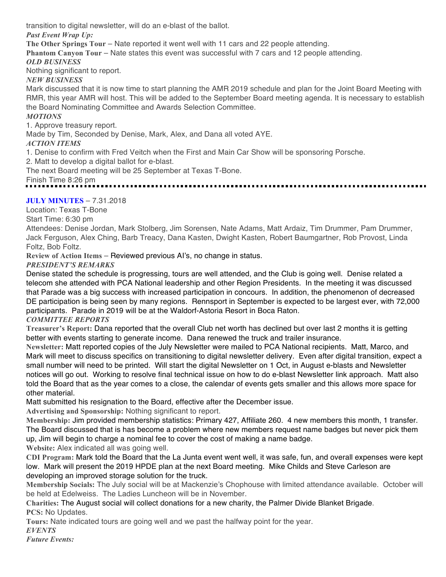transition to digital newsletter, will do an e-blast of the ballot.

*Past Event Wrap Up:*

**The Other Springs Tour** – Nate reported it went well with 11 cars and 22 people attending.

**Phantom Canyon Tour** – Nate states this event was successful with 7 cars and 12 people attending.

*OLD BUSINESS*

Nothing significant to report.

*NEW BUSINESS*

Mark discussed that it is now time to start planning the AMR 2019 schedule and plan for the Joint Board Meeting with RMR, this year AMR will host. This will be added to the September Board meeting agenda. It is necessary to establish the Board Nominating Committee and Awards Selection Committee.

### *MOTIONS*

1. Approve treasury report.

Made by Tim, Seconded by Denise, Mark, Alex, and Dana all voted AYE.

### *ACTION ITEMS*

1. Denise to confirm with Fred Veitch when the First and Main Car Show will be sponsoring Porsche.

2. Matt to develop a digital ballot for e-blast.

The next Board meeting will be 25 September at Texas T-Bone.

Finish Time 8:26 pm

# **JULY MINUTES** – 7.31.2018

Location: Texas T-Bone

Start Time: 6:30 pm

Attendees: Denise Jordan, Mark Stolberg, Jim Sorensen, Nate Adams, Matt Ardaiz, Tim Drummer, Pam Drummer, Jack Ferguson, Alex Ching, Barb Treacy, Dana Kasten, Dwight Kasten, Robert Baumgartner, Rob Provost, Linda Foltz, Bob Foltz.

**Review of Action Items** – Reviewed previous AI's, no change in status.

### *PRESIDENT'S REMARKS*

Denise stated the schedule is progressing, tours are well attended, and the Club is going well. Denise related a telecom she attended with PCA National leadership and other Region Presidents. In the meeting it was discussed that Parade was a big success with increased participation in concours. In addition, the phenomenon of decreased DE participation is being seen by many regions. Rennsport in September is expected to be largest ever, with 72,000 participants. Parade in 2019 will be at the Waldorf-Astoria Resort in Boca Raton.

#### *COMMITTEE REPORTS*

**Treasurer's Report:** Dana reported that the overall Club net worth has declined but over last 2 months it is getting better with events starting to generate income. Dana renewed the truck and trailer insurance.

**Newsletter:** Matt reported copies of the July Newsletter were mailed to PCA National recipients. Matt, Marco, and Mark will meet to discuss specifics on transitioning to digital newsletter delivery. Even after digital transition, expect a small number will need to be printed. Will start the digital Newsletter on 1 Oct, in August e-blasts and Newsletter notices will go out. Working to resolve final technical issue on how to do e-blast Newsletter link approach. Matt also told the Board that as the year comes to a close, the calendar of events gets smaller and this allows more space for other material.

Matt submitted his resignation to the Board, effective after the December issue.

**Advertising and Sponsorship:** Nothing significant to report.

**Membership:** Jim provided membership statistics: Primary 427, Affiliate 260. 4 new members this month, 1 transfer. The Board discussed that is has become a problem where new members request name badges but never pick them up, Jim will begin to charge a nominal fee to cover the cost of making a name badge.

**Website:** Alex indicated all was going well.

**CDI Program:** Mark told the Board that the La Junta event went well, it was safe, fun, and overall expenses were kept low. Mark will present the 2019 HPDE plan at the next Board meeting. Mike Childs and Steve Carleson are developing an improved storage solution for the truck.

**Membership Socials:** The July social will be at Mackenzie's Chophouse with limited attendance available. October will be held at Edelweiss. The Ladies Luncheon will be in November.

**Charities:** The August social will collect donations for a new charity, the Palmer Divide Blanket Brigade. **PCS:** No Updates.

**Tours:** Nate indicated tours are going well and we past the halfway point for the year.

*EVENTS*

*Future Events:*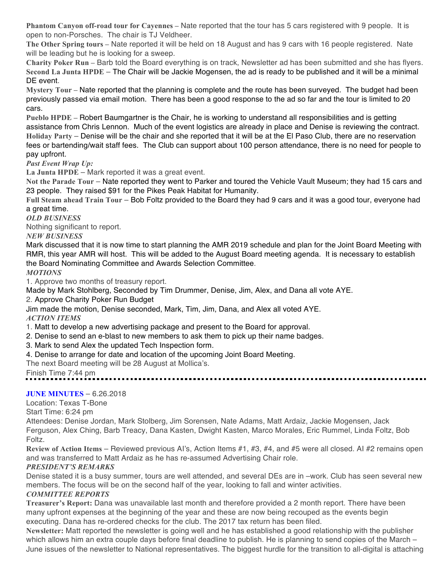**Phantom Canyon off-road tour for Cayennes –** Nate reported that the tour has 5 cars registered with 9 people. It is open to non-Porsches. The chair is TJ Veldheer.

**The Other Spring tours –** Nate reported it will be held on 18 August and has 9 cars with 16 people registered. Nate will be leading but he is looking for a sweep.

**Charity Poker Run –** Barb told the Board everything is on track, Newsletter ad has been submitted and she has flyers. **Second La Junta HPDE** – The Chair will be Jackie Mogensen, the ad is ready to be published and it will be a minimal DE event.

**Mystery Tour –** Nate reported that the planning is complete and the route has been surveyed. The budget had been previously passed via email motion. There has been a good response to the ad so far and the tour is limited to 20 cars.

**Pueblo HPDE –** Robert Baumgartner is the Chair, he is working to understand all responsibilities and is getting assistance from Chris Lennon. Much of the event logistics are already in place and Denise is reviewing the contract. **Holiday Party** – Denise will be the chair and she reported that it will be at the El Paso Club, there are no reservation fees or bartending/wait staff fees. The Club can support about 100 person attendance, there is no need for people to pay upfront.

*Past Event Wrap Up:*

**La Junta HPDE** – Mark reported it was a great event.

**Not the Parade Tour** – Nate reported they went to Parker and toured the Vehicle Vault Museum; they had 15 cars and 23 people. They raised \$91 for the Pikes Peak Habitat for Humanity. 

**Full Steam ahead Train Tour** – Bob Foltz provided to the Board they had 9 cars and it was a good tour, everyone had a great time.

#### *OLD BUSINESS*

Nothing significant to report.

*NEW BUSINESS*

Mark discussed that it is now time to start planning the AMR 2019 schedule and plan for the Joint Board Meeting with RMR, this year AMR will host. This will be added to the August Board meeting agenda. It is necessary to establish the Board Nominating Committee and Awards Selection Committee.

#### *MOTIONS*

1. Approve two months of treasury report.

Made by Mark Stohlberg, Seconded by Tim Drummer, Denise, Jim, Alex, and Dana all vote AYE.

2. Approve Charity Poker Run Budget

Jim made the motion, Denise seconded, Mark, Tim, Jim, Dana, and Alex all voted AYE. *ACTION ITEMS*

1. Matt to develop a new advertising package and present to the Board for approval.

- 2. Denise to send an e-blast to new members to ask them to pick up their name badges.
- 3. Mark to send Alex the updated Tech Inspection form.
- 4. Denise to arrange for date and location of the upcoming Joint Board Meeting.

The next Board meeting will be 28 August at Mollica's.

Finish Time 7:44 pm

# **JUNE MINUTES** – 6.26.2018

Location: Texas T-Bone

Start Time: 6:24 pm

Attendees: Denise Jordan, Mark Stolberg, Jim Sorensen, Nate Adams, Matt Ardaiz, Jackie Mogensen, Jack Ferguson, Alex Ching, Barb Treacy, Dana Kasten, Dwight Kasten, Marco Morales, Eric Rummel, Linda Foltz, Bob Foltz.

**Review of Action Items** – Reviewed previous AI's, Action Items #1, #3, #4, and #5 were all closed. AI #2 remains open and was transferred to Matt Ardaiz as he has re-assumed Advertising Chair role.

# *PRESIDENT'S REMARKS*

Denise stated it is a busy summer, tours are well attended, and several DEs are in –work. Club has seen several new members. The focus will be on the second half of the year, looking to fall and winter activities.

#### *COMMITTEE REPORTS*

**Treasurer's Report:** Dana was unavailable last month and therefore provided a 2 month report. There have been many upfront expenses at the beginning of the year and these are now being recouped as the events begin executing. Dana has re-ordered checks for the club. The 2017 tax return has been filed.

**Newsletter:** Matt reported the newsletter is going well and he has established a good relationship with the publisher which allows him an extra couple days before final deadline to publish. He is planning to send copies of the March – June issues of the newsletter to National representatives. The biggest hurdle for the transition to all-digital is attaching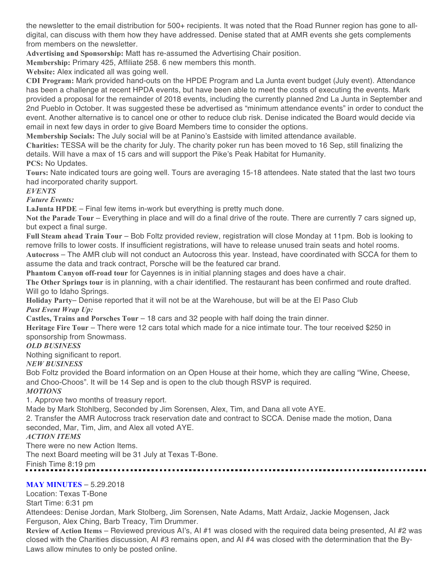the newsletter to the email distribution for 500+ recipients. It was noted that the Road Runner region has gone to alldigital, can discuss with them how they have addressed. Denise stated that at AMR events she gets complements from members on the newsletter.

**Advertising and Sponsorship:** Matt has re-assumed the Advertising Chair position.

**Membership:** Primary 425, Affiliate 258. 6 new members this month.

**Website:** Alex indicated all was going well.

**CDI Program:** Mark provided hand-outs on the HPDE Program and La Junta event budget (July event). Attendance has been a challenge at recent HPDA events, but have been able to meet the costs of executing the events. Mark provided a proposal for the remainder of 2018 events, including the currently planned 2nd La Junta in September and 2nd Pueblo in October. It was suggested these be advertised as "minimum attendance events" in order to conduct the event. Another alternative is to cancel one or other to reduce club risk. Denise indicated the Board would decide via email in next few days in order to give Board Members time to consider the options.

**Membership Socials:** The July social will be at Panino's Eastside with limited attendance available.

**Charities:** TESSA will be the charity for July. The charity poker run has been moved to 16 Sep, still finalizing the details. Will have a max of 15 cars and will support the Pike's Peak Habitat for Humanity.

**PCS:** No Updates.

**Tours:** Nate indicated tours are going well. Tours are averaging 15-18 attendees. Nate stated that the last two tours had incorporated charity support.

*EVENTS*

*Future Events:*

**LaJunta HPDE** – Final few items in-work but everything is pretty much done.

**Not the Parade Tour** – Everything in place and will do a final drive of the route. There are currently 7 cars signed up, but expect a final surge.

**Full Steam ahead Train Tour** – Bob Foltz provided review, registration will close Monday at 11pm. Bob is looking to remove frills to lower costs. If insufficient registrations, will have to release unused train seats and hotel rooms.

**Autocross** – The AMR club will not conduct an Autocross this year. Instead, have coordinated with SCCA for them to assume the data and track contract, Porsche will be the featured car brand.

**Phantom Canyon off-road tour** for Cayennes is in initial planning stages and does have a chair.

**The Other Springs tour** is in planning, with a chair identified. The restaurant has been confirmed and route drafted. Will go to Idaho Springs.

**Holiday Party**– Denise reported that it will not be at the Warehouse, but will be at the El Paso Club *Past Event Wrap Up:*

**Castles, Trains and Porsches Tour** – 18 cars and 32 people with half doing the train dinner.

**Heritage Fire Tour** – There were 12 cars total which made for a nice intimate tour. The tour received \$250 in sponsorship from Snowmass.

# *OLD BUSINESS*

Nothing significant to report.

#### *NEW BUSINESS*

Bob Foltz provided the Board information on an Open House at their home, which they are calling "Wine, Cheese, and Choo-Choos". It will be 14 Sep and is open to the club though RSVP is required.

### *MOTIONS*

1. Approve two months of treasury report.

Made by Mark Stohlberg, Seconded by Jim Sorensen, Alex, Tim, and Dana all vote AYE.

2. Transfer the AMR Autocross track reservation date and contract to SCCA. Denise made the motion, Dana seconded, Mar, Tim, Jim, and Alex all voted AYE.

# *ACTION ITEMS*

There were no new Action Items.

The next Board meeting will be 31 July at Texas T-Bone.

Finish Time 8:19 pm

# **MAY MINUTES** – 5.29.2018

Location: Texas T-Bone

Start Time: 6:31 pm

Attendees: Denise Jordan, Mark Stolberg, Jim Sorensen, Nate Adams, Matt Ardaiz, Jackie Mogensen, Jack Ferguson, Alex Ching, Barb Treacy, Tim Drummer.

**Review of Action Items** – Reviewed previous AI's, AI #1 was closed with the required data being presented, AI #2 was closed with the Charities discussion, AI #3 remains open, and AI #4 was closed with the determination that the By-Laws allow minutes to only be posted online.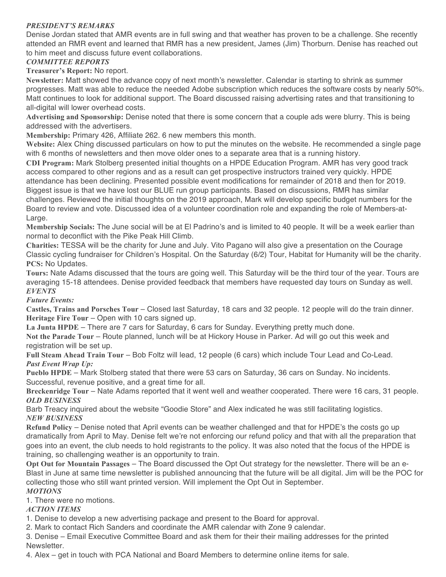### *PRESIDENT'S REMARKS*

Denise Jordan stated that AMR events are in full swing and that weather has proven to be a challenge. She recently attended an RMR event and learned that RMR has a new president, James (Jim) Thorburn. Denise has reached out to him meet and discuss future event collaborations.

### *COMMITTEE REPORTS*

**Treasurer's Report:** No report.

**Newsletter:** Matt showed the advance copy of next month's newsletter. Calendar is starting to shrink as summer progresses. Matt was able to reduce the needed Adobe subscription which reduces the software costs by nearly 50%. Matt continues to look for additional support. The Board discussed raising advertising rates and that transitioning to all-digital will lower overhead costs.

**Advertising and Sponsorship:** Denise noted that there is some concern that a couple ads were blurry. This is being addressed with the advertisers.

**Membership:** Primary 426, Affiliate 262. 6 new members this month.

**Website:** Alex Ching discussed particulars on how to put the minutes on the website. He recommended a single page with 6 months of newsletters and then move older ones to a separate area that is a running history.

**CDI Program:** Mark Stolberg presented initial thoughts on a HPDE Education Program. AMR has very good track access compared to other regions and as a result can get prospective instructors trained very quickly. HPDE attendance has been declining. Presented possible event modifications for remainder of 2018 and then for 2019. Biggest issue is that we have lost our BLUE run group participants. Based on discussions, RMR has similar challenges. Reviewed the initial thoughts on the 2019 approach, Mark will develop specific budget numbers for the Board to review and vote. Discussed idea of a volunteer coordination role and expanding the role of Members-at-Large.

**Membership Socials:** The June social will be at El Padrino's and is limited to 40 people. It will be a week earlier than normal to deconflict with the Pike Peak Hill Climb.

**Charities:** TESSA will be the charity for June and July. Vito Pagano will also give a presentation on the Courage Classic cycling fundraiser for Children's Hospital. On the Saturday (6/2) Tour, Habitat for Humanity will be the charity. **PCS:** No Updates.

**Tours:** Nate Adams discussed that the tours are going well. This Saturday will be the third tour of the year. Tours are averaging 15-18 attendees. Denise provided feedback that members have requested day tours on Sunday as well. *EVENTS*

#### *Future Events:*

**Castles, Trains and Porsches Tour** – Closed last Saturday, 18 cars and 32 people. 12 people will do the train dinner. **Heritage Fire Tour** – Open with 10 cars signed up.

**La Junta HPDE** – There are 7 cars for Saturday, 6 cars for Sunday. Everything pretty much done.

**Not the Parade Tour** – Route planned, lunch will be at Hickory House in Parker. Ad will go out this week and registration will be set up.

**Full Steam Ahead Train Tour** – Bob Foltz will lead, 12 people (6 cars) which include Tour Lead and Co-Lead. *Past Event Wrap Up:*

**Pueblo HPDE** – Mark Stolberg stated that there were 53 cars on Saturday, 36 cars on Sunday. No incidents. Successful, revenue positive, and a great time for all.

**Breckenridge Tour** – Nate Adams reported that it went well and weather cooperated. There were 16 cars, 31 people. *OLD BUSINESS*

Barb Treacy inquired about the website "Goodie Store" and Alex indicated he was still facilitating logistics. *NEW BUSINESS*

**Refund Policy** – Denise noted that April events can be weather challenged and that for HPDE's the costs go up dramatically from April to May. Denise felt we're not enforcing our refund policy and that with all the preparation that goes into an event, the club needs to hold registrants to the policy. It was also noted that the focus of the HPDE is training, so challenging weather is an opportunity to train.

**Opt Out for Mountain Passages** – The Board discussed the Opt Out strategy for the newsletter. There will be an e-Blast in June at same time newsletter is published announcing that the future will be all digital. Jim will be the POC for collecting those who still want printed version. Will implement the Opt Out in September.

### *MOTIONS*

1. There were no motions.

#### *ACTION ITEMS*

1. Denise to develop a new advertising package and present to the Board for approval.

2. Mark to contact Rich Sanders and coordinate the AMR calendar with Zone 9 calendar.

3. Denise – Email Executive Committee Board and ask them for their their mailing addresses for the printed Newsletter.

4. Alex – get in touch with PCA National and Board Members to determine online items for sale.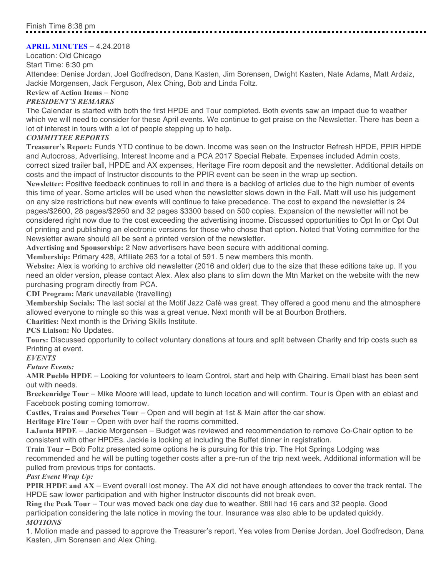# **APRIL MINUTES** – 4.24.2018

Location: Old Chicago Start Time: 6:30 pm

Attendee: Denise Jordan, Joel Godfredson, Dana Kasten, Jim Sorensen, Dwight Kasten, Nate Adams, Matt Ardaiz, Jackie Morgensen, Jack Ferguson, Alex Ching, Bob and Linda Foltz.

#### **Review of Action Items** – None

#### *PRESIDENT'S REMARKS*

The Calendar is started with both the first HPDE and Tour completed. Both events saw an impact due to weather which we will need to consider for these April events. We continue to get praise on the Newsletter. There has been a lot of interest in tours with a lot of people stepping up to help.

#### *COMMITTEE REPORTS*

**Treasurer's Report:** Funds YTD continue to be down. Income was seen on the Instructor Refresh HPDE, PPIR HPDE and Autocross, Advertising, Interest Income and a PCA 2017 Special Rebate. Expenses included Admin costs, correct sized trailer ball, HPDE and AX expenses, Heritage Fire room deposit and the newsletter. Additional details on costs and the impact of Instructor discounts to the PPIR event can be seen in the wrap up section.

**Newsletter:** Positive feedback continues to roll in and there is a backlog of articles due to the high number of events this time of year. Some articles will be used when the newsletter slows down in the Fall. Matt will use his judgement on any size restrictions but new events will continue to take precedence. The cost to expand the newsletter is 24 pages/\$2600, 28 pages/\$2950 and 32 pages \$3300 based on 500 copies. Expansion of the newsletter will not be considered right now due to the cost exceeding the advertising income. Discussed opportunities to Opt In or Opt Out of printing and publishing an electronic versions for those who chose that option. Noted that Voting committee for the Newsletter aware should all be sent a printed version of the newsletter.

**Advertising and Sponsorship:** 2 New advertisers have been secure with additional coming.

**Membership:** Primary 428, Affiliate 263 for a total of 591. 5 new members this month.

**Website:** Alex is working to archive old newsletter (2016 and older) due to the size that these editions take up. If you need an older version, please contact Alex. Alex also plans to slim down the Mtn Market on the website with the new purchasing program directly from PCA.

**CDI Program:** Mark unavailable (travelling)

**Membership Socials:** The last social at the Motif Jazz Café was great. They offered a good menu and the atmosphere allowed everyone to mingle so this was a great venue. Next month will be at Bourbon Brothers.

**Charities:** Next month is the Driving Skills Institute.

**PCS Liaison:** No Updates.

**Tours:** Discussed opportunity to collect voluntary donations at tours and split between Charity and trip costs such as Printing at event.

#### *EVENTS*

*Future Events:*

**AMR Pueblo HPDE** – Looking for volunteers to learn Control, start and help with Chairing. Email blast has been sent out with needs.

**Breckenridge Tour** – Mike Moore will lead, update to lunch location and will confirm. Tour is Open with an eblast and Facebook posting coming tomorrow.

**Castles, Trains and Porsches Tour** – Open and will begin at 1st & Main after the car show.

**Heritage Fire Tour** – Open with over half the rooms committed.

**LaJunta HPDE** – Jackie Morgensen – Budget was reviewed and recommendation to remove Co-Chair option to be consistent with other HPDEs. Jackie is looking at including the Buffet dinner in registration.

**Train Tour** – Bob Foltz presented some options he is pursuing for this trip. The Hot Springs Lodging was

recommended and he will be putting together costs after a pre-run of the trip next week. Additional information will be pulled from previous trips for contacts.

#### *Past Event Wrap Up:*

**PPIR HPDE and AX** – Event overall lost money. The AX did not have enough attendees to cover the track rental. The HPDE saw lower participation and with higher Instructor discounts did not break even.

**Ring the Peak Tour** – Tour was moved back one day due to weather. Still had 16 cars and 32 people. Good participation considering the late notice in moving the tour. Insurance was also able to be updated quickly. *MOTIONS*

1. Motion made and passed to approve the Treasurer's report. Yea votes from Denise Jordan, Joel Godfredson, Dana Kasten, Jim Sorensen and Alex Ching.